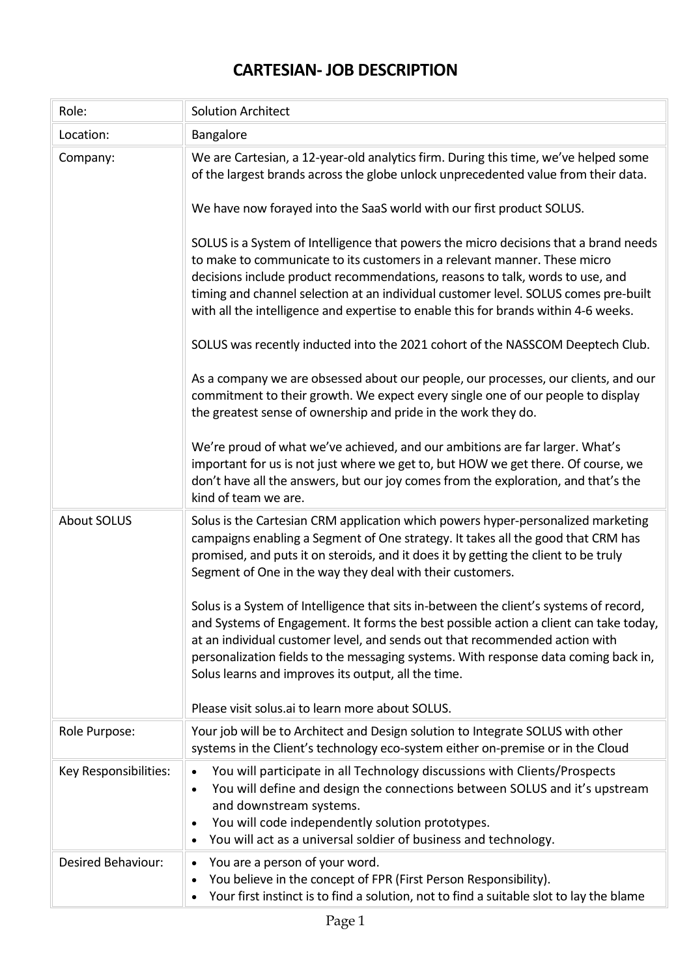## **CARTESIAN- JOB DESCRIPTION**

| Role:                 | <b>Solution Architect</b>                                                                                                                                                                                                                                                                                                                                                                                                                                        |
|-----------------------|------------------------------------------------------------------------------------------------------------------------------------------------------------------------------------------------------------------------------------------------------------------------------------------------------------------------------------------------------------------------------------------------------------------------------------------------------------------|
| Location:             | Bangalore                                                                                                                                                                                                                                                                                                                                                                                                                                                        |
| Company:              | We are Cartesian, a 12-year-old analytics firm. During this time, we've helped some<br>of the largest brands across the globe unlock unprecedented value from their data.                                                                                                                                                                                                                                                                                        |
|                       | We have now forayed into the SaaS world with our first product SOLUS.                                                                                                                                                                                                                                                                                                                                                                                            |
|                       | SOLUS is a System of Intelligence that powers the micro decisions that a brand needs<br>to make to communicate to its customers in a relevant manner. These micro<br>decisions include product recommendations, reasons to talk, words to use, and<br>timing and channel selection at an individual customer level. SOLUS comes pre-built<br>with all the intelligence and expertise to enable this for brands within 4-6 weeks.                                 |
|                       | SOLUS was recently inducted into the 2021 cohort of the NASSCOM Deeptech Club.                                                                                                                                                                                                                                                                                                                                                                                   |
|                       | As a company we are obsessed about our people, our processes, our clients, and our<br>commitment to their growth. We expect every single one of our people to display<br>the greatest sense of ownership and pride in the work they do.                                                                                                                                                                                                                          |
|                       | We're proud of what we've achieved, and our ambitions are far larger. What's<br>important for us is not just where we get to, but HOW we get there. Of course, we<br>don't have all the answers, but our joy comes from the exploration, and that's the<br>kind of team we are.                                                                                                                                                                                  |
| <b>About SOLUS</b>    | Solus is the Cartesian CRM application which powers hyper-personalized marketing<br>campaigns enabling a Segment of One strategy. It takes all the good that CRM has<br>promised, and puts it on steroids, and it does it by getting the client to be truly<br>Segment of One in the way they deal with their customers.                                                                                                                                         |
|                       | Solus is a System of Intelligence that sits in-between the client's systems of record,<br>and Systems of Engagement. It forms the best possible action a client can take today,<br>at an individual customer level, and sends out that recommended action with<br>personalization fields to the messaging systems. With response data coming back in,<br>Solus learns and improves its output, all the time.<br>Please visit solus.ai to learn more about SOLUS. |
| Role Purpose:         | Your job will be to Architect and Design solution to Integrate SOLUS with other<br>systems in the Client's technology eco-system either on-premise or in the Cloud                                                                                                                                                                                                                                                                                               |
| Key Responsibilities: | You will participate in all Technology discussions with Clients/Prospects<br>$\bullet$<br>You will define and design the connections between SOLUS and it's upstream<br>$\bullet$<br>and downstream systems.<br>You will code independently solution prototypes.<br>You will act as a universal soldier of business and technology.<br>٠                                                                                                                         |
| Desired Behaviour:    | You are a person of your word.<br>$\bullet$<br>You believe in the concept of FPR (First Person Responsibility).<br>٠<br>Your first instinct is to find a solution, not to find a suitable slot to lay the blame<br>$\bullet$                                                                                                                                                                                                                                     |